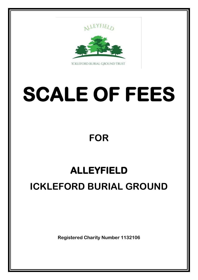

**ICKLEFORD BURIAL GROUND TRUST** 

## **SCALE OF FEES**

## **FOR**

## **ALLEYFIELD ICKLEFORD BURIAL GROUND**

**Registered Charity Number 1132106**